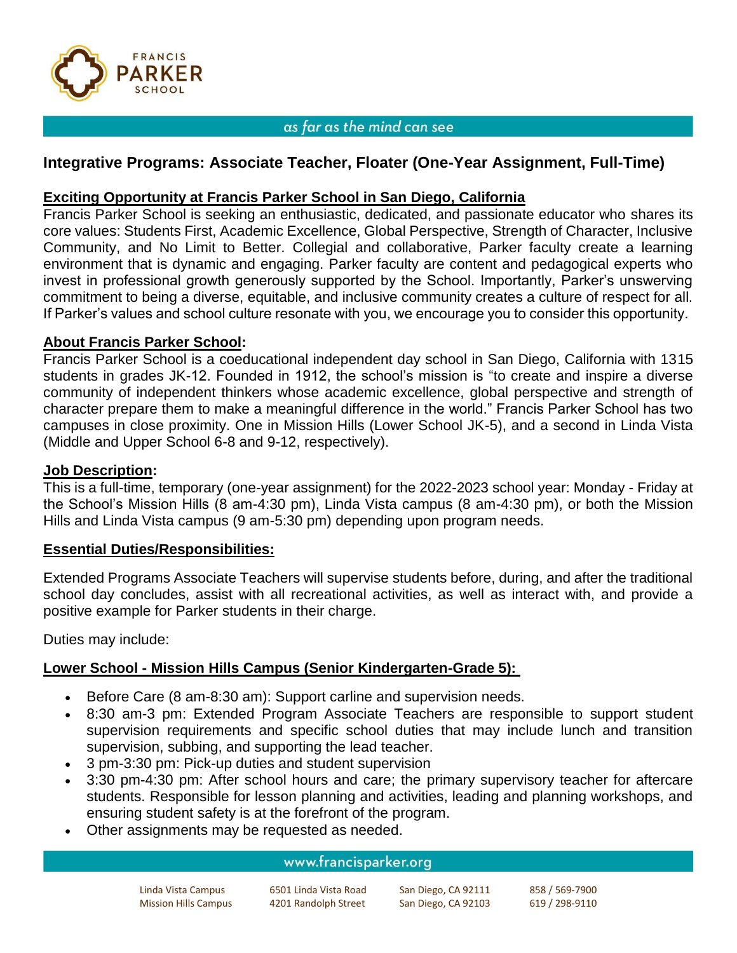

### as far as the mind can see

# **Integrative Programs: Associate Teacher, Floater (One-Year Assignment, Full-Time)**

## **Exciting Opportunity at Francis Parker School in San Diego, California**

Francis Parker School is seeking an enthusiastic, dedicated, and passionate educator who shares its core values: Students First, Academic Excellence, Global Perspective, Strength of Character, Inclusive Community, and No Limit to Better. Collegial and collaborative, Parker faculty create a learning environment that is dynamic and engaging. Parker faculty are content and pedagogical experts who invest in professional growth generously supported by the School. Importantly, Parker's unswerving commitment to being a diverse, equitable, and inclusive community creates a culture of respect for all. If Parker's values and school culture resonate with you, we encourage you to consider this opportunity.

### **About Francis Parker School:**

Francis Parker School is a coeducational independent day school in San Diego, California with 1315 students in grades JK-12. Founded in 1912, the school's mission is "to create and inspire a diverse community of independent thinkers whose academic excellence, global perspective and strength of character prepare them to make a meaningful difference in the world." Francis Parker School has two campuses in close proximity. One in Mission Hills (Lower School JK-5), and a second in Linda Vista (Middle and Upper School 6-8 and 9-12, respectively).

#### **Job Description:**

This is a full-time, temporary (one-year assignment) for the 2022-2023 school year: Monday - Friday at the School's Mission Hills (8 am-4:30 pm), Linda Vista campus (8 am-4:30 pm), or both the Mission Hills and Linda Vista campus (9 am-5:30 pm) depending upon program needs.

### **Essential Duties/Responsibilities:**

Extended Programs Associate Teachers will supervise students before, during, and after the traditional school day concludes, assist with all recreational activities, as well as interact with, and provide a positive example for Parker students in their charge.

Duties may include:

# **Lower School - Mission Hills Campus (Senior Kindergarten-Grade 5):**

- Before Care (8 am-8:30 am): Support carline and supervision needs.
- 8:30 am-3 pm: Extended Program Associate Teachers are responsible to support student supervision requirements and specific school duties that may include lunch and transition supervision, subbing, and supporting the lead teacher.
- 3 pm-3:30 pm: Pick-up duties and student supervision
- 3:30 pm-4:30 pm: After school hours and care; the primary supervisory teacher for aftercare students. Responsible for lesson planning and activities, leading and planning workshops, and ensuring student safety is at the forefront of the program.
- Other assignments may be requested as needed.

#### www.francisparker.org

| Linda Vista Campus          | 6501 Linda Vista Road | San Diego, CA 92111 | 858 / 569-7900 |
|-----------------------------|-----------------------|---------------------|----------------|
| <b>Mission Hills Campus</b> | 4201 Randolph Street  | San Diego, CA 92103 | 619 / 298-9110 |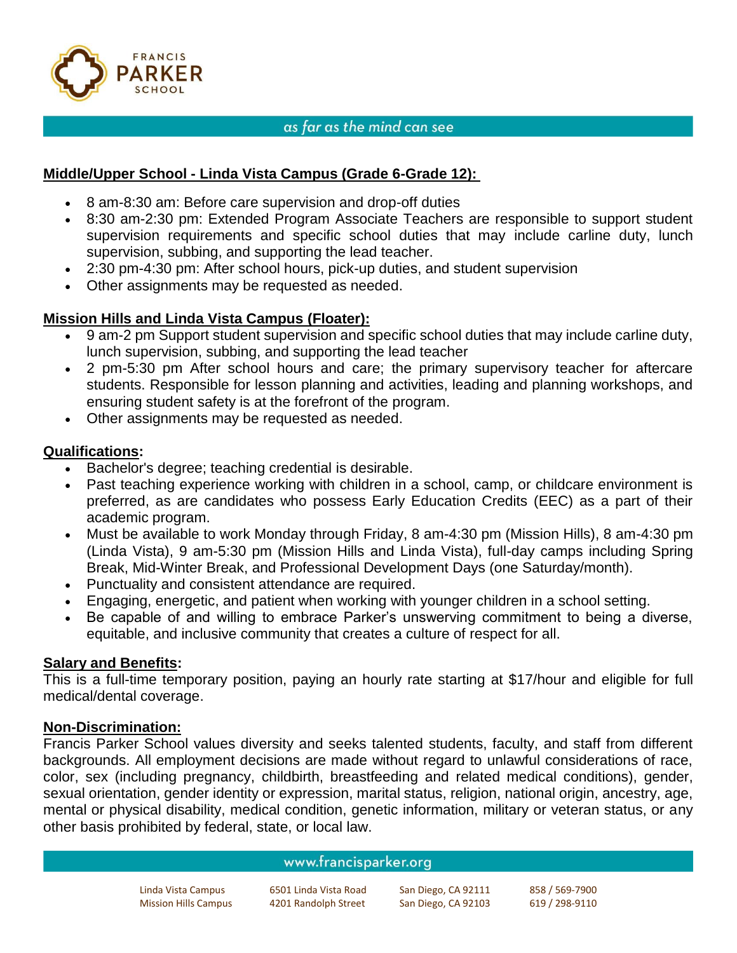

#### as far as the mind can see

## **Middle/Upper School - Linda Vista Campus (Grade 6-Grade 12):**

- 8 am-8:30 am: Before care supervision and drop-off duties
- 8:30 am-2:30 pm: Extended Program Associate Teachers are responsible to support student supervision requirements and specific school duties that may include carline duty, lunch supervision, subbing, and supporting the lead teacher.
- 2:30 pm-4:30 pm: After school hours, pick-up duties, and student supervision
- Other assignments may be requested as needed.

# **Mission Hills and Linda Vista Campus (Floater):**

- 9 am-2 pm Support student supervision and specific school duties that may include carline duty, lunch supervision, subbing, and supporting the lead teacher
- 2 pm-5:30 pm After school hours and care; the primary supervisory teacher for aftercare students. Responsible for lesson planning and activities, leading and planning workshops, and ensuring student safety is at the forefront of the program.
- Other assignments may be requested as needed.

# **Qualifications:**

- Bachelor's degree; teaching credential is desirable.
- Past teaching experience working with children in a school, camp, or childcare environment is preferred, as are candidates who possess Early Education Credits (EEC) as a part of their academic program.
- Must be available to work Monday through Friday, 8 am-4:30 pm (Mission Hills), 8 am-4:30 pm (Linda Vista), 9 am-5:30 pm (Mission Hills and Linda Vista), full-day camps including Spring Break, Mid-Winter Break, and Professional Development Days (one Saturday/month).
- Punctuality and consistent attendance are required.
- Engaging, energetic, and patient when working with younger children in a school setting.
- Be capable of and willing to embrace Parker's unswerving commitment to being a diverse, equitable, and inclusive community that creates a culture of respect for all.

### **Salary and Benefits:**

This is a full-time temporary position, paying an hourly rate starting at \$17/hour and eligible for full medical/dental coverage.

### **Non-Discrimination:**

Francis Parker School values diversity and seeks talented students, faculty, and staff from different backgrounds. All employment decisions are made without regard to unlawful considerations of race, color, sex (including pregnancy, childbirth, breastfeeding and related medical conditions), gender, sexual orientation, gender identity or expression, marital status, religion, national origin, ancestry, age, mental or physical disability, medical condition, genetic information, military or veteran status, or any other basis prohibited by federal, state, or local law.

#### www.francisparker.org

Linda Vista Campus 6501 Linda Vista Road San Diego, CA 92111 858 / 569-7900 Mission Hills Campus 4201 Randolph Street San Diego, CA 92103 619 / 298-9110